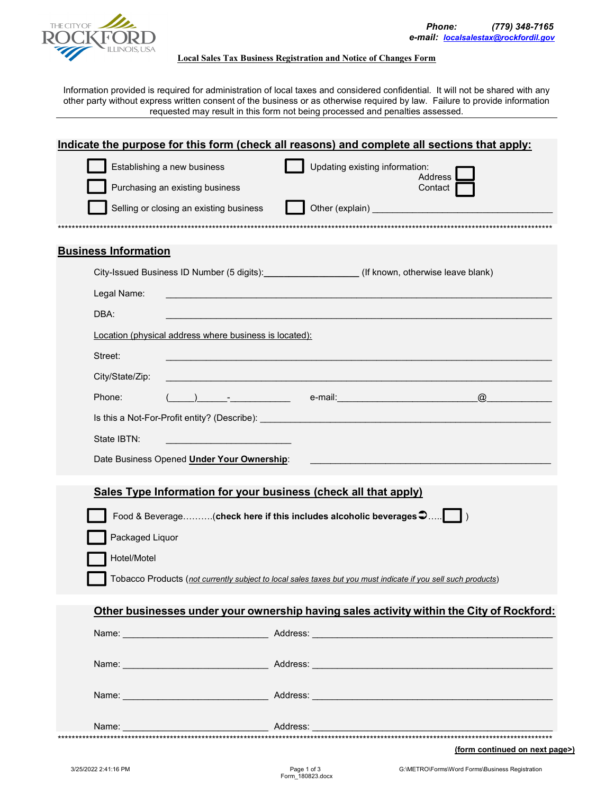

## **Local Sales Tax Business Registration and Notice of Changes Form**

Information provided is required for administration of local taxes and considered confidential. It will not be shared with any other party without express written consent of the business or as otherwise required by law. Failure to provide information requested may result in this form not being processed and penalties assessed.

| Indicate the purpose for this form (check all reasons) and complete all sections that apply:  |                                                                                                                                                                                                                                |  |
|-----------------------------------------------------------------------------------------------|--------------------------------------------------------------------------------------------------------------------------------------------------------------------------------------------------------------------------------|--|
| Establishing a new business                                                                   | Updating existing information:                                                                                                                                                                                                 |  |
| Purchasing an existing business                                                               | <b>Address</b><br>Contact                                                                                                                                                                                                      |  |
| Selling or closing an existing business                                                       | Other (explain) and the control of the control of the control of the control of the control of the control of the control of the control of the control of the control of the control of the control of the control of the con |  |
|                                                                                               |                                                                                                                                                                                                                                |  |
| <b>Business Information</b>                                                                   |                                                                                                                                                                                                                                |  |
| City-Issued Business ID Number (5 digits): _________________(If known, otherwise leave blank) |                                                                                                                                                                                                                                |  |
| Legal Name:                                                                                   |                                                                                                                                                                                                                                |  |
| DBA:                                                                                          |                                                                                                                                                                                                                                |  |
| Location (physical address where business is located):                                        |                                                                                                                                                                                                                                |  |
| Street:                                                                                       |                                                                                                                                                                                                                                |  |
| City/State/Zip:                                                                               |                                                                                                                                                                                                                                |  |
| Phone:                                                                                        | $\omega$                                                                                                                                                                                                                       |  |
|                                                                                               |                                                                                                                                                                                                                                |  |
| State IBTN:                                                                                   |                                                                                                                                                                                                                                |  |
| Date Business Opened Under Your Ownership:                                                    |                                                                                                                                                                                                                                |  |
| Sales Type Information for your business (check all that apply)                               |                                                                                                                                                                                                                                |  |
|                                                                                               |                                                                                                                                                                                                                                |  |
| Food & Beverage(check here if this includes alcoholic beverages $\bullet$                     | $\vert$ )                                                                                                                                                                                                                      |  |
| Packaged Liquor                                                                               |                                                                                                                                                                                                                                |  |
| Hotel/Motel                                                                                   |                                                                                                                                                                                                                                |  |
|                                                                                               | Tobacco Products (not currently subject to local sales taxes but you must indicate if you sell such products)                                                                                                                  |  |
|                                                                                               | Other businesses under your ownership having sales activity within the City of Rockford:                                                                                                                                       |  |
|                                                                                               |                                                                                                                                                                                                                                |  |
|                                                                                               |                                                                                                                                                                                                                                |  |
|                                                                                               |                                                                                                                                                                                                                                |  |
|                                                                                               |                                                                                                                                                                                                                                |  |
|                                                                                               |                                                                                                                                                                                                                                |  |
|                                                                                               |                                                                                                                                                                                                                                |  |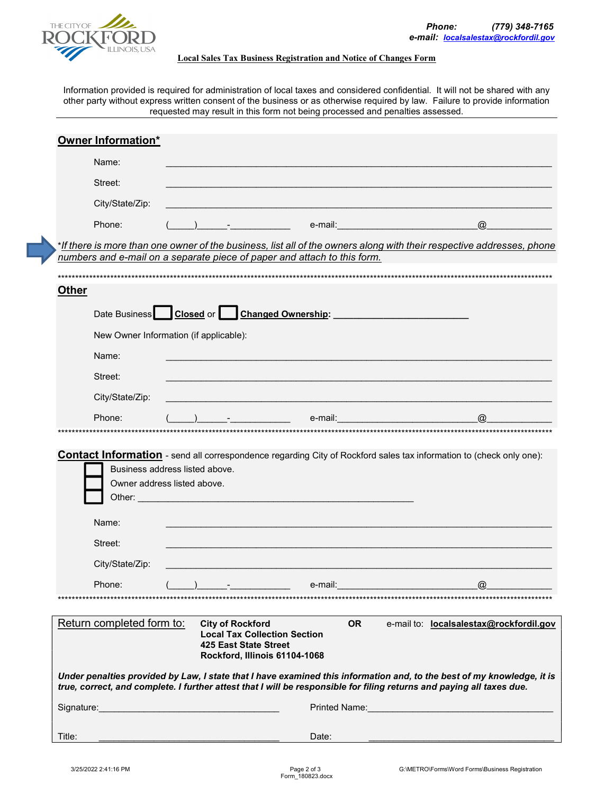

## Local Sales Tax Business Registration and Notice of Changes Form

Information provided is required for administration of local taxes and considered confidential. It will not be shared with any other party without express written consent of the business or as otherwise required by law. Failure to provide information requested may result in this form not being processed and penalties assessed.

|              | Owner Information*                                                                                                                                                                                                                                                                                                                                                                                                                                               |  |  |                                                                          |                                                                                                                       |
|--------------|------------------------------------------------------------------------------------------------------------------------------------------------------------------------------------------------------------------------------------------------------------------------------------------------------------------------------------------------------------------------------------------------------------------------------------------------------------------|--|--|--------------------------------------------------------------------------|-----------------------------------------------------------------------------------------------------------------------|
|              | Name:                                                                                                                                                                                                                                                                                                                                                                                                                                                            |  |  |                                                                          |                                                                                                                       |
|              | Street:                                                                                                                                                                                                                                                                                                                                                                                                                                                          |  |  |                                                                          |                                                                                                                       |
|              | City/State/Zip:                                                                                                                                                                                                                                                                                                                                                                                                                                                  |  |  |                                                                          |                                                                                                                       |
|              | Phone:                                                                                                                                                                                                                                                                                                                                                                                                                                                           |  |  |                                                                          | $\omega$                                                                                                              |
|              |                                                                                                                                                                                                                                                                                                                                                                                                                                                                  |  |  |                                                                          | *If there is more than one owner of the business, list all of the owners along with their respective addresses, phone |
|              |                                                                                                                                                                                                                                                                                                                                                                                                                                                                  |  |  | numbers and e-mail on a separate piece of paper and attach to this form. |                                                                                                                       |
| <b>Other</b> |                                                                                                                                                                                                                                                                                                                                                                                                                                                                  |  |  |                                                                          |                                                                                                                       |
|              |                                                                                                                                                                                                                                                                                                                                                                                                                                                                  |  |  |                                                                          |                                                                                                                       |
|              |                                                                                                                                                                                                                                                                                                                                                                                                                                                                  |  |  | Date Business Closed or Changed Ownership:                               |                                                                                                                       |
|              | New Owner Information (if applicable):                                                                                                                                                                                                                                                                                                                                                                                                                           |  |  |                                                                          |                                                                                                                       |
|              | Name:                                                                                                                                                                                                                                                                                                                                                                                                                                                            |  |  |                                                                          |                                                                                                                       |
|              | Street:                                                                                                                                                                                                                                                                                                                                                                                                                                                          |  |  |                                                                          |                                                                                                                       |
|              | City/State/Zip:                                                                                                                                                                                                                                                                                                                                                                                                                                                  |  |  |                                                                          |                                                                                                                       |
|              | Phone:                                                                                                                                                                                                                                                                                                                                                                                                                                                           |  |  | e-mail:                                                                  | $\omega$                                                                                                              |
|              | Business address listed above.<br>Owner address listed above.<br>Name:                                                                                                                                                                                                                                                                                                                                                                                           |  |  |                                                                          |                                                                                                                       |
|              | Street:                                                                                                                                                                                                                                                                                                                                                                                                                                                          |  |  |                                                                          |                                                                                                                       |
|              | City/State/Zip:                                                                                                                                                                                                                                                                                                                                                                                                                                                  |  |  |                                                                          |                                                                                                                       |
|              | Phone:                                                                                                                                                                                                                                                                                                                                                                                                                                                           |  |  | e-mail:                                                                  | $\omega$                                                                                                              |
|              | Return completed form to:<br><b>City of Rockford</b><br><b>OR</b><br>e-mail to: localsalestax@rockfordil.gov<br><b>Local Tax Collection Section</b><br>425 East State Street<br>Rockford, Illinois 61104-1068<br>Under penalties provided by Law, I state that I have examined this information and, to the best of my knowledge, it is<br>true, correct, and complete. I further attest that I will be responsible for filing returns and paying all taxes due. |  |  |                                                                          |                                                                                                                       |
|              | Signature: <u>Communications</u>                                                                                                                                                                                                                                                                                                                                                                                                                                 |  |  |                                                                          |                                                                                                                       |
|              |                                                                                                                                                                                                                                                                                                                                                                                                                                                                  |  |  |                                                                          |                                                                                                                       |